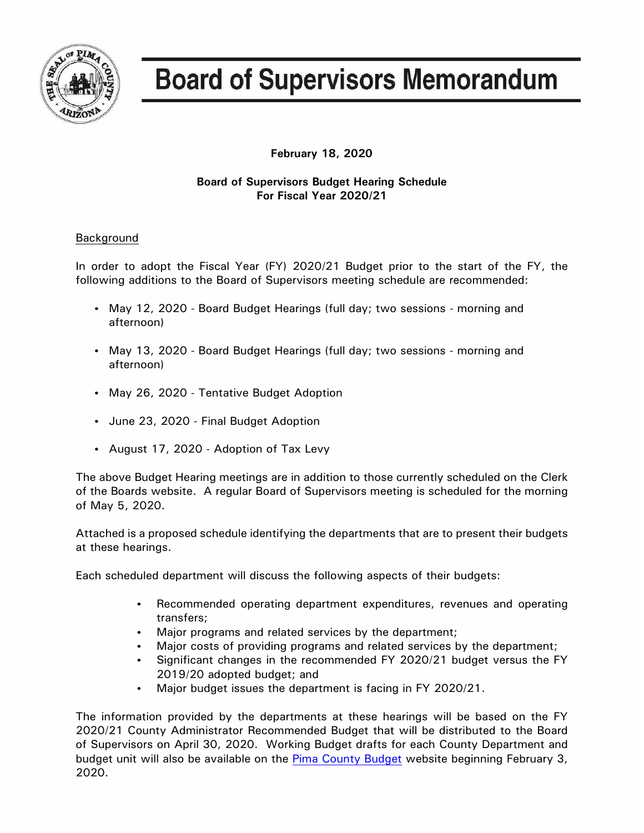

## **Board of Supervisors Memorandum**

**February 18, 2020**

## **Board of Supervisors Budget Hearing Schedule For Fiscal Year 2020/21**

## Background

In order to adopt the Fiscal Year (FY) 2020/21 Budget prior to the start of the FY, the following additions to the Board of Supervisors meeting schedule are recommended:

- May 12, 2020 Board Budget Hearings (full day; two sessions morning and afternoon)
- May 13, 2020 Board Budget Hearings (full day; two sessions morning and afternoon)
- May 26, 2020 Tentative Budget Adoption
- June 23, 2020 Final Budget Adoption
- August 17, 2020 Adoption of Tax Levy

The above Budget Hearing meetings are in addition to those currently scheduled on the Clerk of the Boards website. A regular Board of Supervisors meeting is scheduled for the morning of May 5, 2020.

Attached is a proposed schedule identifying the departments that are to present their budgets at these hearings.

Each scheduled department will discuss the following aspects of their budgets:

- Recommended operating department expenditures, revenues and operating transfers;
- Major programs and related services by the department;
- Major costs of providing programs and related services by the department;
- Significant changes in the recommended FY 2020/21 budget versus the FY 2019/20 adopted budget; and
- Major budget issues the department is facing in FY 2020/21.

The information provided by the departments at these hearings will be based on the FY 2020/21 County Administrator Recommended Budget that will be distributed to the Board of Supervisors on April 30, 2020. Working Budget drafts for each County Department and budget unit will also be available on the [Pima County Budget](http://webcms.pima.gov/cms/One.aspx?portalId=169&pageId=36498) website beginning February 3, 2020.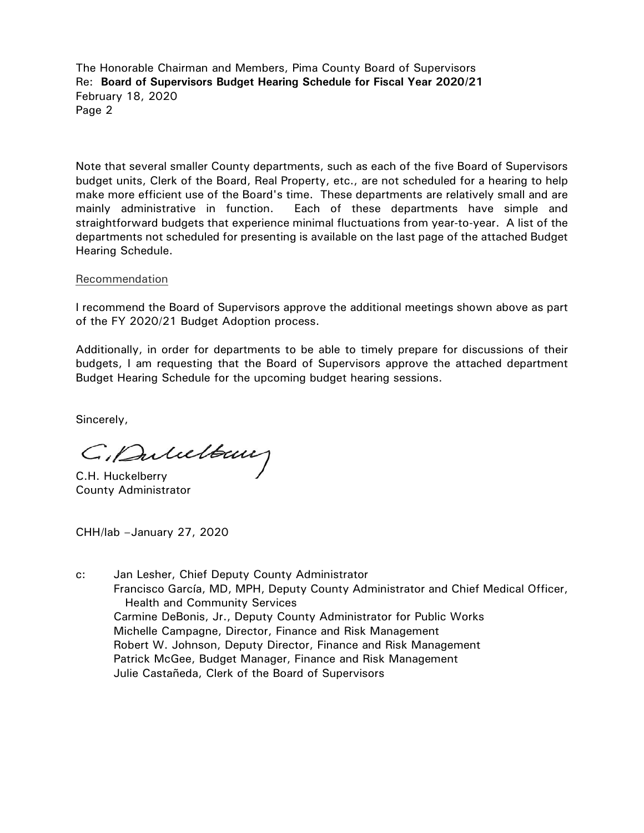The Honorable Chairman and Members, Pima County Board of Supervisors Re: **Board of Supervisors Budget Hearing Schedule for Fiscal Year 2020/21** February 18, 2020 Page 2

Note that several smaller County departments, such as each of the five Board of Supervisors budget units, Clerk of the Board, Real Property, etc., are not scheduled for a hearing to help make more efficient use of the Board's time. These departments are relatively small and are mainly administrative in function. Each of these departments have simple and straightforward budgets that experience minimal fluctuations from year-to-year. A list of the departments not scheduled for presenting is available on the last page of the attached Budget Hearing Schedule.

## Recommendation

I recommend the Board of Supervisors approve the additional meetings shown above as part of the FY 2020/21 Budget Adoption process.

Additionally, in order for departments to be able to timely prepare for discussions of their budgets, I am requesting that the Board of Supervisors approve the attached department Budget Hearing Schedule for the upcoming budget hearing sessions.

Sincerely,

C. Duluettaux

County Administrator

CHH/lab –January 27, 2020

c: Jan Lesher, Chief Deputy County Administrator Francisco García, MD, MPH, Deputy County Administrator and Chief Medical Officer, Health and Community Services Carmine DeBonis, Jr., Deputy County Administrator for Public Works Michelle Campagne, Director, Finance and Risk Management Robert W. Johnson, Deputy Director, Finance and Risk Management Patrick McGee, Budget Manager, Finance and Risk Management Julie Castañeda, Clerk of the Board of Supervisors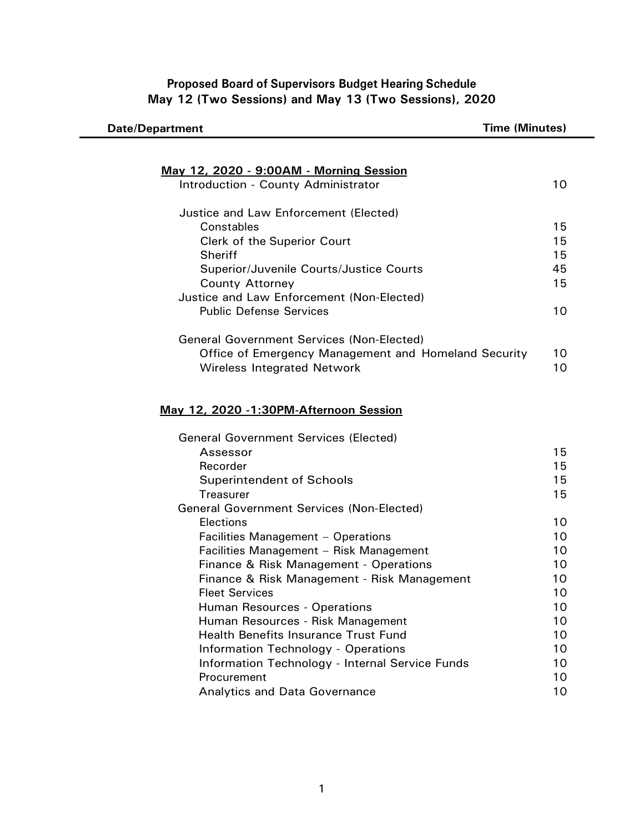**Proposed Board of Supervisors Budget Hearing Schedule May 12 (Two Sessions) and May 13 (Two Sessions), 2020**

| <b>Date/Department</b>                                                                 | <b>Time (Minutes)</b> |
|----------------------------------------------------------------------------------------|-----------------------|
|                                                                                        |                       |
|                                                                                        |                       |
| <u> May 12, 2020 - 9:00AM - Morning Session</u><br>Introduction - County Administrator | 10                    |
|                                                                                        |                       |
| Justice and Law Enforcement (Elected)                                                  |                       |
| Constables                                                                             | 15                    |
| Clerk of the Superior Court                                                            | 15                    |
| <b>Sheriff</b>                                                                         | 15                    |
| Superior/Juvenile Courts/Justice Courts                                                | 45                    |
| <b>County Attorney</b>                                                                 | 15                    |
| Justice and Law Enforcement (Non-Elected)                                              |                       |
| <b>Public Defense Services</b>                                                         | 10                    |
|                                                                                        |                       |
| <b>General Government Services (Non-Elected)</b>                                       |                       |
| Office of Emergency Management and Homeland Security                                   | 10                    |
| <b>Wireless Integrated Network</b>                                                     | 10                    |
|                                                                                        |                       |
|                                                                                        |                       |
| May 12, 2020 -1:30PM-Afternoon Session                                                 |                       |
|                                                                                        |                       |
| <b>General Government Services (Elected)</b>                                           |                       |
| Assessor                                                                               | 15                    |
| Recorder                                                                               | 15                    |
| <b>Superintendent of Schools</b>                                                       | 15                    |
| <b>Treasurer</b>                                                                       | 15                    |
| <b>General Government Services (Non-Elected)</b>                                       |                       |
| Elections                                                                              | 10                    |
| Facilities Management - Operations                                                     | 10                    |
| Facilities Management - Risk Management                                                | 10                    |
| Finance & Risk Management - Operations                                                 | 10                    |
| Finance & Risk Management - Risk Management                                            | 10                    |
| <b>Fleet Services</b>                                                                  | 10                    |
| Human Resources - Operations                                                           | 10                    |
| Human Resources - Risk Management                                                      | 10                    |
| <b>Health Benefits Insurance Trust Fund</b>                                            | 10                    |
| <b>Information Technology - Operations</b>                                             | 10                    |
| Information Technology - Internal Service Funds                                        | 10                    |
| Procurement                                                                            | 10                    |
| Analytics and Data Governance                                                          | 10                    |